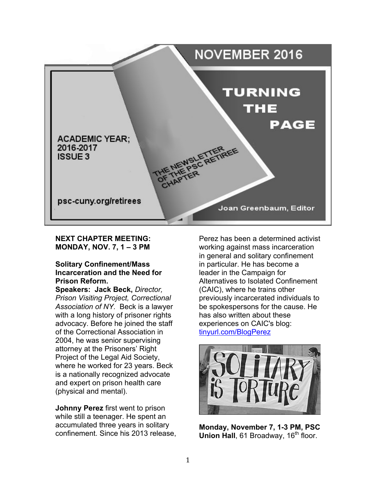

#### **NEXT CHAPTER MEETING: MONDAY, NOV. 7, 1 – 3 PM**

#### **Solitary Confinement/Mass Incarceration and the Need for Prison Reform.**

**Speakers: Jack Beck,** *Director, Prison Visiting Project, Correctional Association of NY.* Beck is a lawyer with a long history of prisoner rights advocacy. Before he joined the staff of the Correctional Association in 2004, he was senior supervising attorney at the Prisoners' Right Project of the Legal Aid Society, where he worked for 23 years. Beck is a nationally recognized advocate and expert on prison health care (physical and mental).

**Johnny Perez** first went to prison while still a teenager. He spent an accumulated three years in solitary confinement. Since his 2013 release, Perez has been a determined activist working against mass incarceration in general and solitary confinement in particular. He has become a leader in the Campaign for Alternatives to Isolated Confinement (CAIC), where he trains other previously incarcerated individuals to be spokespersons for the cause. He has also written about these experiences on CAIC's blog: tinyurl.com/BlogPerez



**Monday, November 7, 1-3 PM, PSC Union Hall, 61 Broadway, 16<sup>th</sup> floor.**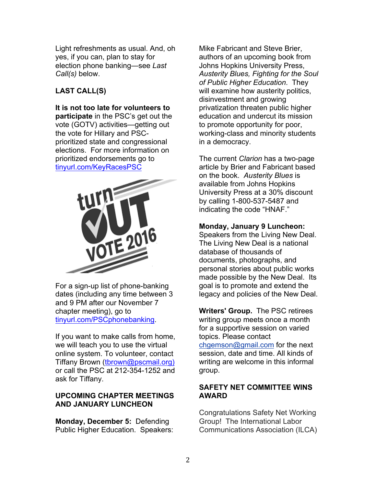Light refreshments as usual. And, oh yes, if you can, plan to stay for election phone banking—see *Last Call(s)* below.

# **LAST CALL(S)**

**It is not too late for volunteers to participate** in the PSC's get out the vote (GOTV) activities—getting out the vote for Hillary and PSCprioritized state and congressional elections. For more information on prioritized endorsements go to tinyurl.com/KeyRacesPSC



For a sign-up list of phone-banking dates (including any time between 3 and 9 PM after our November 7 chapter meeting), go to tinyurl.com/PSCphonebanking.

If you want to make calls from home, we will teach you to use the virtual online system. To volunteer, contact Tiffany Brown (tbrown@pscmail.org) or call the PSC at 212-354-1252 and ask for Tiffany.

# **UPCOMING CHAPTER MEETINGS AND JANUARY LUNCHEON**

**Monday, December 5:** Defending Public Higher Education. Speakers: Mike Fabricant and Steve Brier, authors of an upcoming book from Johns Hopkins University Press, *Austerity Blues, Fighting for the Soul of Public Higher Education*. They will examine how austerity politics, disinvestment and growing privatization threaten public higher education and undercut its mission to promote opportunity for poor, working-class and minority students in a democracy.

The current *Clarion* has a two-page article by Brier and Fabricant based on the book. *Austerity Blues* is available from Johns Hopkins University Press at a 30% discount by calling 1-800-537-5487 and indicating the code "HNAF."

# **Monday, January 9 Luncheon:**

Speakers from the Living New Deal. The Living New Deal is a national database of thousands of documents, photographs, and personal stories about public works made possible by the New Deal. Its goal is to promote and extend the legacy and policies of the New Deal.

**Writers' Group.** The PSC retirees writing group meets once a month for a supportive session on varied topics. Please contact chgemson@gmail.com for the next session, date and time. All kinds of writing are welcome in this informal group.

# **SAFETY NET COMMITTEE WINS AWARD**

Congratulations Safety Net Working Group! The International Labor Communications Association (ILCA)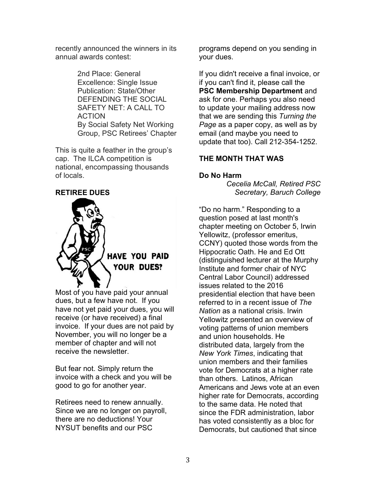recently announced the winners in its annual awards contest:

> 2nd Place: General Excellence: Single Issue Publication: State/Other DEFENDING THE SOCIAL SAFETY NET: A CALL TO ACTION By Social Safety Net Working Group, PSC Retirees' Chapter

This is quite a feather in the group's cap. The ILCA competition is national, encompassing thousands of locals.

# **RETIREE DUES**



Most of you have paid your annual dues, but a few have not. If you have not yet paid your dues, you will receive (or have received) a final invoice. If your dues are not paid by November, you will no longer be a member of chapter and will not receive the newsletter.

But fear not. Simply return the invoice with a check and you will be good to go for another year.

Retirees need to renew annually. Since we are no longer on payroll, there are no deductions! Your NYSUT benefits and our PSC

programs depend on you sending in your dues.

If you didn't receive a final invoice, or if you can't find it, please call the **PSC Membership Department** and ask for one. Perhaps you also need to update your mailing address now that we are sending this *Turning the Page* as a paper copy, as well as by email (and maybe you need to update that too). Call 212-354-1252.

# **THE MONTH THAT WAS**

#### **Do No Harm**

*Cecelia McCall, Retired PSC Secretary, Baruch College*

"Do no harm." Responding to a question posed at last month's chapter meeting on October 5, Irwin Yellowitz, (professor emeritus, CCNY) quoted those words from the Hippocratic Oath. He and Ed Ott (distinguished lecturer at the Murphy Institute and former chair of NYC Central Labor Council) addressed issues related to the 2016 presidential election that have been referred to in a recent issue of *The Nation* as a national crisis. Irwin Yellowitz presented an overview of voting patterns of union members and union households. He distributed data, largely from the *New York Times*, indicating that union members and their families vote for Democrats at a higher rate than others. Latinos, African Americans and Jews vote at an even higher rate for Democrats, according to the same data. He noted that since the FDR administration, labor has voted consistently as a bloc for Democrats, but cautioned that since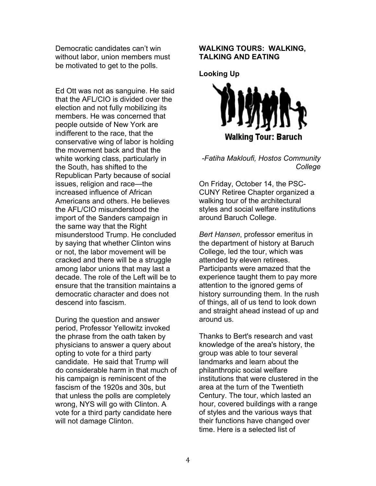Democratic candidates can't win without labor, union members must be motivated to get to the polls.

Ed Ott was not as sanguine. He said that the AFL/CIO is divided over the election and not fully mobilizing its members. He was concerned that people outside of New York are indifferent to the race, that the conservative wing of labor is holding the movement back and that the white working class, particularly in the South, has shifted to the Republican Party because of social issues, religion and race—the increased influence of African Americans and others. He believes the AFL/CIO misunderstood the import of the Sanders campaign in the same way that the Right misunderstood Trump. He concluded by saying that whether Clinton wins or not, the labor movement will be cracked and there will be a struggle among labor unions that may last a decade. The role of the Left will be to ensure that the transition maintains a democratic character and does not descend into fascism.

During the question and answer period, Professor Yellowitz invoked the phrase from the oath taken by physicians to answer a query about opting to vote for a third party candidate. He said that Trump will do considerable harm in that much of his campaign is reminiscent of the fascism of the 1920s and 30s, but that unless the polls are completely wrong, NYS will go with Clinton. A vote for a third party candidate here will not damage Clinton.

#### **WALKING TOURS: WALKING, TALKING AND EATING**

**Looking Up**



*-Fatiha Makloufi, Hostos Community College*

On Friday, October 14, the PSC-CUNY Retiree Chapter organized a walking tour of the architectural styles and social welfare institutions around Baruch College.

*Bert Hansen*, professor emeritus in the department of history at Baruch College, led the tour, which was attended by eleven retirees. Participants were amazed that the experience taught them to pay more attention to the ignored gems of history surrounding them. In the rush of things, all of us tend to look down and straight ahead instead of up and around us.

Thanks to Bert's research and vast knowledge of the area's history, the group was able to tour several landmarks and learn about the philanthropic social welfare institutions that were clustered in the area at the turn of the Twentieth Century. The tour, which lasted an hour, covered buildings with a range of styles and the various ways that their functions have changed over time. Here is a selected list of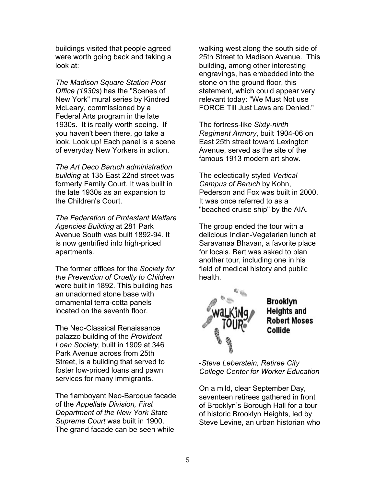buildings visited that people agreed were worth going back and taking a look at:

*The Madison Square Station Post Office (1930s*) has the "Scenes of New York" mural series by Kindred McLeary, commissioned by a Federal Arts program in the late 1930s. It is really worth seeing. If you haven't been there, go take a look. Look up! Each panel is a scene of everyday New Yorkers in action.

*The Art Deco Baruch administration building* at 135 East 22nd street was formerly Family Court. It was built in the late 1930s as an expansion to the Children's Court.

*The Federation of Protestant Welfare Agencies Building* at 281 Park Avenue South was built 1892-94. It is now gentrified into high-priced apartments.

The former offices for the *Society for the Prevention of Cruelty to Children* were built in 1892. This building has an unadorned stone base with ornamental terra-cotta panels located on the seventh floor.

The Neo-Classical Renaissance palazzo building of the *Provident Loan Society,* built in 1909 at 346 Park Avenue across from 25th Street, is a building that served to foster low-priced loans and pawn services for many immigrants.

The flamboyant Neo-Baroque facade of the *Appellate Division, First Department of the New York State Supreme Court* was built in 1900. The grand facade can be seen while

walking west along the south side of 25th Street to Madison Avenue. This building, among other interesting engravings, has embedded into the stone on the ground floor, this statement, which could appear very relevant today: "We Must Not use FORCE Till Just Laws are Denied."

The fortress-like *Sixty-ninth Regiment Armory*, built 1904-06 on East 25th street toward Lexington Avenue, served as the site of the famous 1913 modern art show.

The eclectically styled *Vertical Campus of Baruch* by Kohn, Pederson and Fox was built in 2000. It was once referred to as a "beached cruise ship" by the AIA.

The group ended the tour with a delicious Indian-Vegetarian lunch at Saravanaa Bhavan, a favorite place for locals. Bert was asked to plan another tour, including one in his field of medical history and public health.



-*Steve Leberstein, Retiree City College Center for Worker Education*

On a mild, clear September Day, seventeen retirees gathered in front of Brooklyn's Borough Hall for a tour of historic Brooklyn Heights, led by Steve Levine, an urban historian who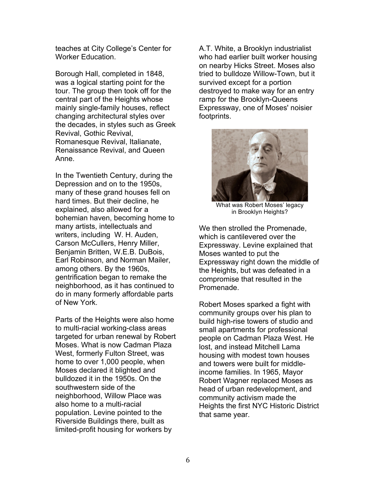teaches at City College's Center for Worker Education.

Borough Hall, completed in 1848, was a logical starting point for the tour. The group then took off for the central part of the Heights whose mainly single-family houses, reflect changing architectural styles over the decades, in styles such as Greek Revival, Gothic Revival, Romanesque Revival, Italianate, Renaissance Revival, and Queen Anne.

In the Twentieth Century, during the Depression and on to the 1950s, many of these grand houses fell on hard times. But their decline, he explained, also allowed for a bohemian haven, becoming home to many artists, intellectuals and writers, including W. H. Auden, Carson McCullers, Henry Miller, Benjamin Britten, W.E.B. DuBois, Earl Robinson, and Norman Mailer, among others. By the 1960s, gentrification began to remake the neighborhood, as it has continued to do in many formerly affordable parts of New York.

Parts of the Heights were also home to multi-racial working-class areas targeted for urban renewal by Robert Moses. What is now Cadman Plaza West, formerly Fulton Street, was home to over 1,000 people, when Moses declared it blighted and bulldozed it in the 1950s. On the southwestern side of the neighborhood, Willow Place was also home to a multi-racial population. Levine pointed to the Riverside Buildings there, built as limited-profit housing for workers by

A.T. White, a Brooklyn industrialist who had earlier built worker housing on nearby Hicks Street. Moses also tried to bulldoze Willow-Town, but it survived except for a portion destroyed to make way for an entry ramp for the Brooklyn-Queens Expressway, one of Moses' noisier footprints.

![](_page_5_Picture_5.jpeg)

What was Robert Moses' legacy in Brooklyn Heights?

We then strolled the Promenade. which is cantilevered over the Expressway. Levine explained that Moses wanted to put the Expressway right down the middle of the Heights, but was defeated in a compromise that resulted in the Promenade.

Robert Moses sparked a fight with community groups over his plan to build high-rise towers of studio and small apartments for professional people on Cadman Plaza West. He lost, and instead Mitchell Lama housing with modest town houses and towers were built for middleincome families. In 1965, Mayor Robert Wagner replaced Moses as head of urban redevelopment, and community activism made the Heights the first NYC Historic District that same year.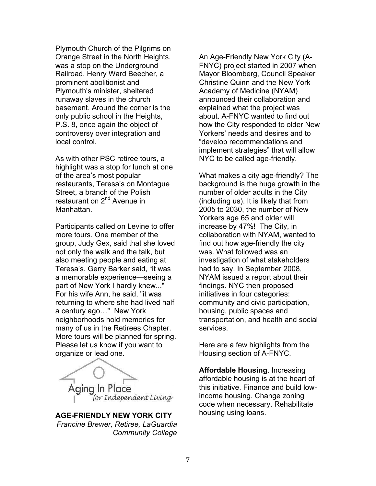Plymouth Church of the Pilgrims on Orange Street in the North Heights, was a stop on the Underground Railroad. Henry Ward Beecher, a prominent abolitionist and Plymouth's minister, sheltered runaway slaves in the church basement. Around the corner is the only public school in the Heights, P.S. 8, once again the object of controversy over integration and local control.

As with other PSC retiree tours, a highlight was a stop for lunch at one of the area's most popular restaurants, Teresa's on Montague Street, a branch of the Polish restaurant on 2<sup>nd</sup> Avenue in **Manhattan** 

Participants called on Levine to offer more tours. One member of the group, Judy Gex, said that she loved not only the walk and the talk, but also meeting people and eating at Teresa's. Gerry Barker said, "it was a memorable experience—seeing a part of New York I hardly knew..." For his wife Ann, he said, "it was returning to where she had lived half a century ago…" New York neighborhoods hold memories for many of us in the Retirees Chapter. More tours will be planned for spring. Please let us know if you want to organize or lead one.

Aging In Place for Independent Living

**AGE-FRIENDLY NEW YORK CITY** *Francine Brewer, Retiree, LaGuardia Community College* 

An Age-Friendly New York City (A-FNYC) project started in 2007 when Mayor Bloomberg, Council Speaker Christine Quinn and the New York Academy of Medicine (NYAM) announced their collaboration and explained what the project was about. A-FNYC wanted to find out how the City responded to older New Yorkers' needs and desires and to "develop recommendations and implement strategies" that will allow NYC to be called age-friendly.

What makes a city age-friendly? The background is the huge growth in the number of older adults in the City (including us). It is likely that from 2005 to 2030, the number of New Yorkers age 65 and older will increase by 47%! The City, in collaboration with NYAM, wanted to find out how age-friendly the city was. What followed was an investigation of what stakeholders had to say. In September 2008, NYAM issued a report about their findings. NYC then proposed initiatives in four categories: community and civic participation, housing, public spaces and transportation, and health and social services.

Here are a few highlights from the Housing section of A-FNYC.

**Affordable Housing**. Increasing affordable housing is at the heart of this initiative. Finance and build lowincome housing. Change zoning code when necessary. Rehabilitate housing using loans.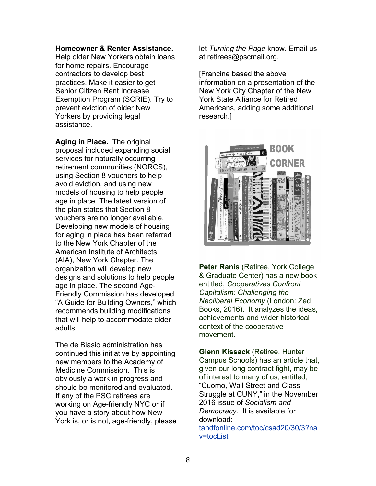#### **Homeowner & Renter Assistance.**

Help older New Yorkers obtain loans for home repairs. Encourage contractors to develop best practices. Make it easier to get Senior Citizen Rent Increase Exemption Program (SCRIE). Try to prevent eviction of older New Yorkers by providing legal assistance.

**Aging in Place.** The original proposal included expanding social services for naturally occurring retirement communities (NORCS), using Section 8 vouchers to help avoid eviction, and using new models of housing to help people age in place. The latest version of the plan states that Section 8 vouchers are no longer available. Developing new models of housing for aging in place has been referred to the New York Chapter of the American Institute of Architects (AIA), New York Chapter. The organization will develop new designs and solutions to help people age in place. The second Age-Friendly Commission has developed "A Guide for Building Owners," which recommends building modifications that will help to accommodate older adults.

The de Blasio administration has continued this initiative by appointing new members to the Academy of Medicine Commission. This is obviously a work in progress and should be monitored and evaluated. If any of the PSC retirees are working on Age-friendly NYC or if you have a story about how New York is, or is not, age-friendly, please let *Turning the Page* know. Email us at retirees@pscmail.org.

[Francine based the above information on a presentation of the New York City Chapter of the New York State Alliance for Retired Americans, adding some additional research.]

![](_page_7_Picture_6.jpeg)

**Peter Ranis** (Retiree, York College & Graduate Center) has a new book entitled, *Cooperatives Confront Capitalism: Challenging the Neoliberal Economy* (London: Zed Books, 2016). It analyzes the ideas, achievements and wider historical context of the cooperative movement.

**Glenn Kissack** (Retiree, Hunter Campus Schools) has an article that, given our long contract fight, may be of interest to many of us, entitled, "Cuomo, Wall Street and Class Struggle at CUNY," in the November 2016 issue of *Socialism and Democracy.* It is available for download:

tandfonline.com/toc/csad20/30/3?na v=tocList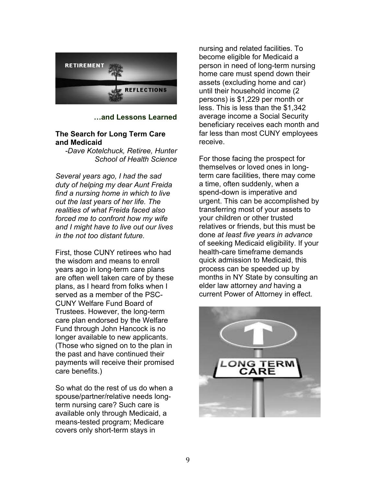![](_page_8_Picture_0.jpeg)

**…and Lessons Learned**

#### **The Search for Long Term Care and Medicaid**

*-Dave Kotelchuck, Retiree, Hunter School of Health Science*

*Several years ago, I had the sad duty of helping my dear Aunt Freida find a nursing home in which to live out the last years of her life. The realities of what Freida faced also forced me to confront how my wife and I might have to live out our lives in the not too distant future.* 

First, those CUNY retirees who had the wisdom and means to enroll years ago in long-term care plans are often well taken care of by these plans, as I heard from folks when I served as a member of the PSC-CUNY Welfare Fund Board of Trustees. However, the long-term care plan endorsed by the Welfare Fund through John Hancock is no longer available to new applicants. (Those who signed on to the plan in the past and have continued their payments will receive their promised care benefits.)

So what do the rest of us do when a spouse/partner/relative needs longterm nursing care? Such care is available only through Medicaid, a means-tested program; Medicare covers only short-term stays in

nursing and related facilities. To become eligible for Medicaid a person in need of long-term nursing home care must spend down their assets (excluding home and car) until their household income (2 persons) is \$1,229 per month or less. This is less than the \$1,342 average income a Social Security beneficiary receives each month and far less than most CUNY employees receive.

For those facing the prospect for themselves or loved ones in longterm care facilities, there may come a time, often suddenly, when a spend-down is imperative and urgent. This can be accomplished by transferring most of your assets to your children or other trusted relatives or friends, but this must be done *at least five years in advance* of seeking Medicaid eligibility. If your health-care timeframe demands quick admission to Medicaid, this process can be speeded up by months in NY State by consulting an elder law attorney *and* having a current Power of Attorney in effect.

![](_page_8_Picture_9.jpeg)